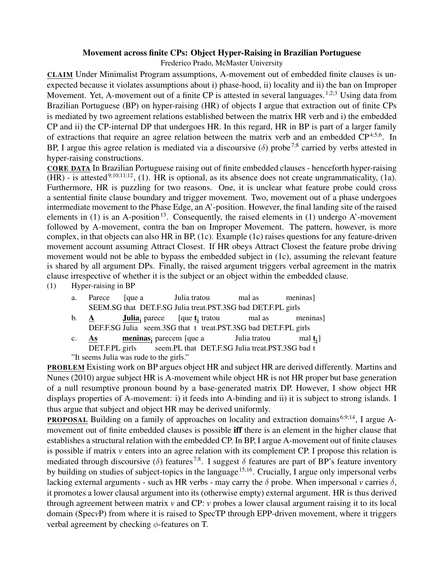## Movement across finite CPs: Object Hyper-Raising in Brazilian Portuguese

Frederico Prado, McMaster University

CLAIM Under Minimalist Program assumptions, A-movement out of embedded finite clauses is unexpected because it violates assumptions about i) phase-hood, ii) locality and ii) the ban on Improper Movement. Yet, A-movement out of a finite CP is attested in several languages.<sup>1;2;3</sup> Using data from Brazilian Portuguese (BP) on hyper-raising (HR) of objects I argue that extraction out of finite CPs is mediated by two agreement relations established between the matrix HR verb and i) the embedded CP and ii) the CP-internal DP that undergoes HR. In this regard, HR in BP is part of a larger family of extractions that require an agree relation between the matrix verb and an embedded  $CP^{4,5,6}$ . In BP, I argue this agree relation is mediated via a discoursive ( $\delta$ ) probe<sup>7;8</sup> carried by verbs attested in hyper-raising constructions.

CORE DATA In Brazilian Portuguese raising out of finite embedded clauses - henceforth hyper-raising  $(HR)$  - is attested<sup>9;10;11;12</sup>, (1). HR is optional, as its absence does not create ungrammaticality, (1a). Furthermore, HR is puzzling for two reasons. One, it is unclear what feature probe could cross a sentential finite clause boundary and trigger movement. Two, movement out of a phase undergoes intermediate movement to the Phase Edge, an A'-position. However, the final landing site of the raised elements in (1) is an A-position<sup>13</sup>. Consequently, the raised elements in (1) undergo A'-movement followed by A-movement, contra the ban on Improper Movement. The pattern, however, is more complex, in that objects can also HR in BP, (1c). Example (1c) raises questions for any feature-driven movement account assuming Attract Closest. If HR obeys Attract Closest the feature probe driving movement would not be able to bypass the embedded subject in (1c), assuming the relevant feature is shared by all argument DPs. Finally, the raised argument triggers verbal agreement in the matrix clause irrespective of whether it is the subject or an object within the embedded clause. (1) Hyper-raising in BP

| a.                                      |                                                                 |  | Parece [que a Julia tratou                                                                | mal as | meninas]                                    |
|-----------------------------------------|-----------------------------------------------------------------|--|-------------------------------------------------------------------------------------------|--------|---------------------------------------------|
|                                         |                                                                 |  | SEEM.SG that DET.F.SG Julia treat.PST.3SG bad DET.F.PL girls                              |        |                                             |
|                                         | b. $A$                                                          |  | <b>Julia</b> <sub>i</sub> parece [que $\underline{t}$ <sub>i</sub> tratou mal as meninas] |        |                                             |
|                                         | DEF.F.SG Julia seem.3SG that t treat.PST.3SG bad DET.F.PL girls |  |                                                                                           |        |                                             |
|                                         |                                                                 |  | c. $\underline{As}$ meninas <sub>i</sub> parecem [que a Julia tratou                      |        | mal $\underline{\mathbf{t}}$ <sub>i</sub> ] |
|                                         | DET.F.PL girls seem.PL that DET.F.SG Julia treat.PST.3SG bad t  |  |                                                                                           |        |                                             |
| "It seems Julia was rude to the girls." |                                                                 |  |                                                                                           |        |                                             |

PROBLEM Existing work on BP argues object HR and subject HR are derived differently. Martins and Nunes (2010) argue subject HR is A-movement while object HR is not HR proper but base generation of a null resumptive pronoun bound by a base-generated matrix DP. However, I show object HR displays properties of A-movement: i) it feeds into A-binding and ii) it is subject to strong islands. I thus argue that subject and object HR may be derived uniformly.

PROPOSAL Building on a family of approaches on locality and extraction domains<sup>6;9;14</sup>, I argue Amovement out of finite embedded clauses is possible iff there is an element in the higher clause that establishes a structural relation with the embedded CP. In BP, I argue A-movement out of finite clauses is possible if matrix *v* enters into an agree relation with its complement CP. I propose this relation is mediated through discoursive ( $\delta$ ) features <sup>7;8</sup>. I suggest  $\delta$  features are part of BP's feature inventory by building on studies of subject-topics in the language<sup>15;16</sup>. Crucially, I argue only impersonal verbs lacking external arguments - such as HR verbs - may carry the  $\delta$  probe. When impersonal *v* carries  $\delta$ , it promotes a lower clausal argument into its (otherwise empty) external argument. HR is thus derived through agreement between matrix *v* and CP: *v* probes a lower clausal argument raising it to its local domain (Spec*v*P) from where it is raised to SpecTP through EPP-driven movement, where it triggers verbal agreement by checking  $\phi$ -features on T.